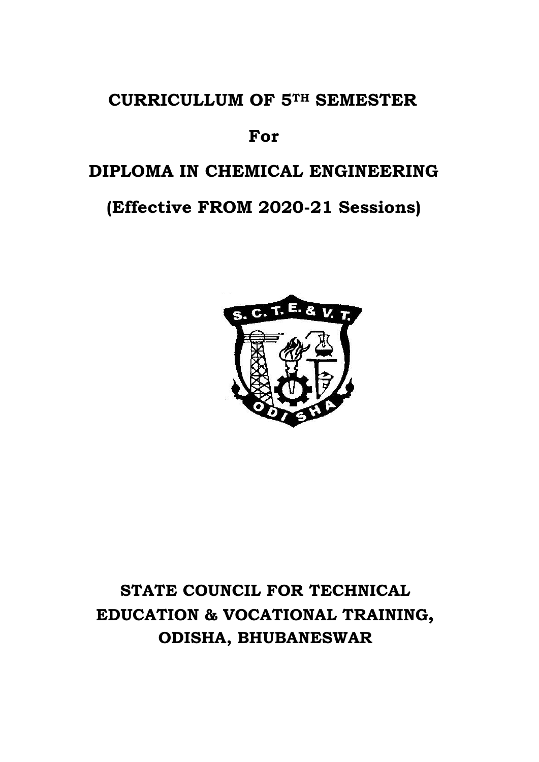# **CURRICULLUM OF 5TH SEMESTER**

# **For**

# **DIPLOMA IN CHEMICAL ENGINEERING**

# **(Effective FROM 2020-21 Sessions)**



# **STATE COUNCIL FOR TECHNICAL EDUCATION & VOCATIONAL TRAINING, ODISHA, BHUBANESWAR**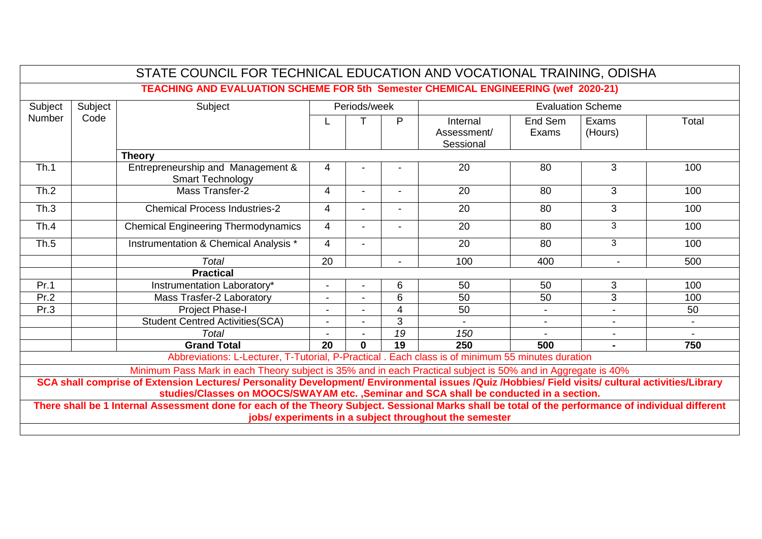| STATE COUNCIL FOR TECHNICAL EDUCATION AND VOCATIONAL TRAINING, ODISHA                                                                                                                                                                       |                                                                                           |                                                                                                              |    |                                          |                          |                                      |                  |                          |       |
|---------------------------------------------------------------------------------------------------------------------------------------------------------------------------------------------------------------------------------------------|-------------------------------------------------------------------------------------------|--------------------------------------------------------------------------------------------------------------|----|------------------------------------------|--------------------------|--------------------------------------|------------------|--------------------------|-------|
|                                                                                                                                                                                                                                             | <b>TEACHING AND EVALUATION SCHEME FOR 5th Semester CHEMICAL ENGINEERING (wef 2020-21)</b> |                                                                                                              |    |                                          |                          |                                      |                  |                          |       |
| Subject                                                                                                                                                                                                                                     | Subject                                                                                   | Subject                                                                                                      |    | Periods/week<br><b>Evaluation Scheme</b> |                          |                                      |                  |                          |       |
| <b>Number</b>                                                                                                                                                                                                                               | Code                                                                                      |                                                                                                              |    |                                          | P                        | Internal<br>Assessment/<br>Sessional | End Sem<br>Exams | Exams<br>(Hours)         | Total |
|                                                                                                                                                                                                                                             |                                                                                           | <b>Theory</b>                                                                                                |    |                                          |                          |                                      |                  |                          |       |
| Th.1                                                                                                                                                                                                                                        |                                                                                           | Entrepreneurship and Management &<br><b>Smart Technology</b>                                                 | 4  |                                          |                          | 20                                   | 80               | 3                        | 100   |
| Th.2                                                                                                                                                                                                                                        |                                                                                           | Mass Transfer-2                                                                                              | 4  |                                          |                          | 20                                   | 80               | 3                        | 100   |
| Th.3                                                                                                                                                                                                                                        |                                                                                           | <b>Chemical Process Industries-2</b>                                                                         | 4  |                                          | $\overline{\phantom{0}}$ | 20                                   | 80               | 3                        | 100   |
| Th.4                                                                                                                                                                                                                                        |                                                                                           | <b>Chemical Engineering Thermodynamics</b>                                                                   | 4  |                                          | $\overline{\phantom{a}}$ | 20                                   | 80               | 3                        | 100   |
| Th.5                                                                                                                                                                                                                                        |                                                                                           | Instrumentation & Chemical Analysis *                                                                        | 4  |                                          |                          | 20                                   | 80               | 3                        | 100   |
|                                                                                                                                                                                                                                             |                                                                                           | <b>Total</b>                                                                                                 | 20 |                                          | $\overline{\phantom{a}}$ | 100                                  | 400              | $\blacksquare$           | 500   |
|                                                                                                                                                                                                                                             |                                                                                           | <b>Practical</b>                                                                                             |    |                                          |                          |                                      |                  |                          |       |
| Pr.1                                                                                                                                                                                                                                        |                                                                                           | Instrumentation Laboratory*                                                                                  |    |                                          | 6                        | 50                                   | 50               | 3                        | 100   |
| Pr.2                                                                                                                                                                                                                                        |                                                                                           | Mass Trasfer-2 Laboratory                                                                                    |    |                                          | 6                        | 50                                   | 50               | $\overline{3}$           | 100   |
| Pr.3                                                                                                                                                                                                                                        |                                                                                           | <b>Project Phase-I</b>                                                                                       |    |                                          | 4                        | 50                                   | $\blacksquare$   | $\blacksquare$           | 50    |
|                                                                                                                                                                                                                                             |                                                                                           | Student Centred Activities(SCA)                                                                              |    |                                          | 3                        |                                      | $\blacksquare$   | $\overline{\phantom{a}}$ |       |
|                                                                                                                                                                                                                                             |                                                                                           | <b>Total</b>                                                                                                 |    |                                          | 19                       | 150                                  |                  |                          |       |
|                                                                                                                                                                                                                                             |                                                                                           | <b>Grand Total</b>                                                                                           | 20 | $\bf{0}$                                 | 19                       | 250                                  | 500              | $\blacksquare$           | 750   |
|                                                                                                                                                                                                                                             |                                                                                           | Abbreviations: L-Lecturer, T-Tutorial, P-Practical . Each class is of minimum 55 minutes duration            |    |                                          |                          |                                      |                  |                          |       |
|                                                                                                                                                                                                                                             |                                                                                           | Minimum Pass Mark in each Theory subject is 35% and in each Practical subject is 50% and in Aggregate is 40% |    |                                          |                          |                                      |                  |                          |       |
| SCA shall comprise of Extension Lectures/ Personality Development/ Environmental issues /Quiz /Hobbies/ Field visits/ cultural activities/Library<br>studies/Classes on MOOCS/SWAYAM etc., Seminar and SCA shall be conducted in a section. |                                                                                           |                                                                                                              |    |                                          |                          |                                      |                  |                          |       |
| There shall be 1 Internal Assessment done for each of the Theory Subject. Sessional Marks shall be total of the performance of individual different<br>jobs/ experiments in a subject throughout the semester                               |                                                                                           |                                                                                                              |    |                                          |                          |                                      |                  |                          |       |
|                                                                                                                                                                                                                                             |                                                                                           |                                                                                                              |    |                                          |                          |                                      |                  |                          |       |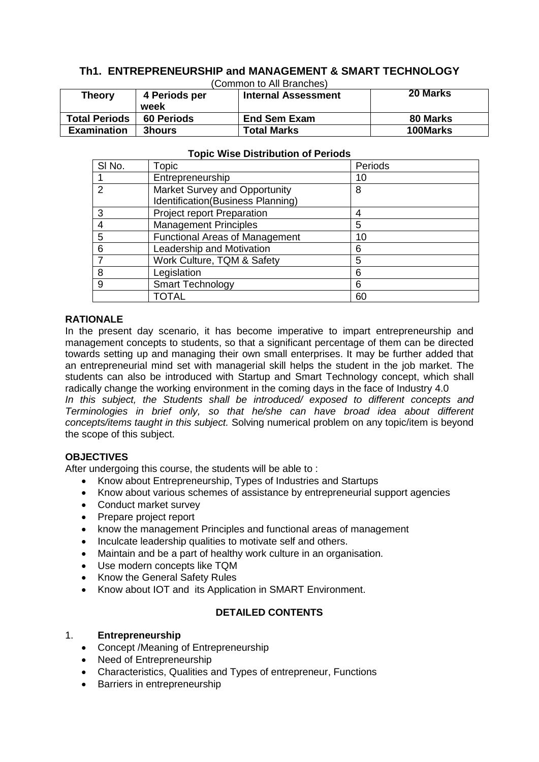#### **Th1. ENTREPRENEURSHIP and MANAGEMENT & SMART TECHNOLOGY** (Common to All Branches)

| <b>Theory</b>        | 4 Periods per             | $\sigma$<br><b>Internal Assessment</b> | 20 Marks |
|----------------------|---------------------------|----------------------------------------|----------|
| <b>Total Periods</b> | week<br><b>60 Periods</b> | <b>End Sem Exam</b>                    | 80 Marks |
| <b>Examination</b>   | <b>3hours</b>             | <b>Total Marks</b>                     | 100Marks |

| SI No. | Topic                                 | Periods |
|--------|---------------------------------------|---------|
|        | Entrepreneurship                      | 10      |
| າ      | Market Survey and Opportunity         | 8       |
|        | Identification(Business Planning)     |         |
| З      | Project report Preparation            | 4       |
|        | <b>Management Principles</b>          | 5       |
| 5      | <b>Functional Areas of Management</b> | 10      |
| 6      | Leadership and Motivation             | 6       |
|        | Work Culture, TQM & Safety            | 5       |
| 8      | Legislation                           | 6       |
| 9      | <b>Smart Technology</b>               | 6       |
|        | TOTAL                                 | 60      |

#### **Topic Wise Distribution of Periods**

#### **RATIONALE**

In the present day scenario, it has become imperative to impart entrepreneurship and management concepts to students, so that a significant percentage of them can be directed towards setting up and managing their own small enterprises. It may be further added that an entrepreneurial mind set with managerial skill helps the student in the job market. The students can also be introduced with Startup and Smart Technology concept, which shall radically change the working environment in the coming days in the face of Industry 4.0

*In this subject, the Students shall be introduced/ exposed to different concepts and Terminologies in brief only, so that he/she can have broad idea about different concepts/items taught in this subject.* Solving numerical problem on any topic/item is beyond the scope of this subject.

#### **OBJECTIVES**

After undergoing this course, the students will be able to :

- Know about Entrepreneurship, Types of Industries and Startups
- Know about various schemes of assistance by entrepreneurial support agencies
- Conduct market survey
- Prepare project report
- know the management Principles and functional areas of management
- Inculcate leadership qualities to motivate self and others.
- Maintain and be a part of healthy work culture in an organisation.
- Use modern concepts like TQM
- Know the General Safety Rules
- Know about IOT and its Application in SMART Environment.

#### **DETAILED CONTENTS**

#### 1. **Entrepreneurship**

- Concept /Meaning of Entrepreneurship
- Need of Entrepreneurship
- Characteristics, Qualities and Types of entrepreneur, Functions
- Barriers in entrepreneurship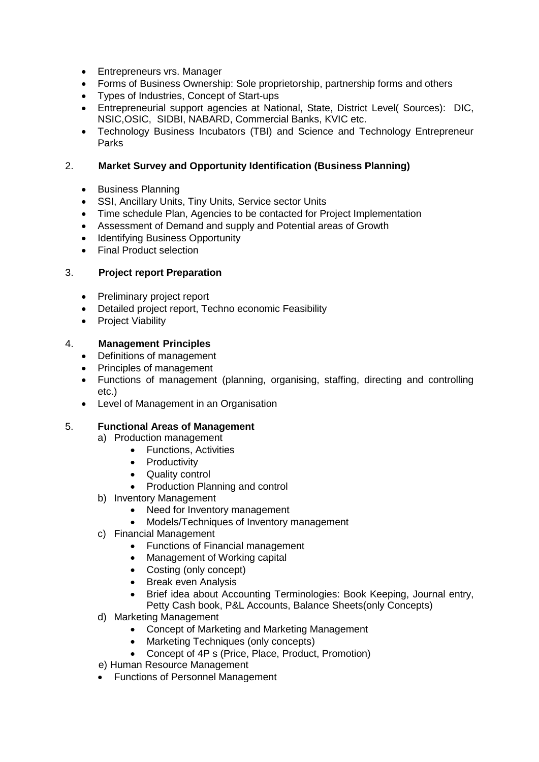- Entrepreneurs vrs. Manager
- Forms of Business Ownership: Sole proprietorship, partnership forms and others
- Types of Industries, Concept of Start-ups
- Entrepreneurial support agencies at National, State, District Level( Sources): DIC, NSIC,OSIC, SIDBI, NABARD, Commercial Banks, KVIC etc.
- Technology Business Incubators (TBI) and Science and Technology Entrepreneur Parks

#### 2. **Market Survey and Opportunity Identification (Business Planning)**

- Business Planning
- SSI, Ancillary Units, Tiny Units, Service sector Units
- Time schedule Plan, Agencies to be contacted for Project Implementation
- Assessment of Demand and supply and Potential areas of Growth
- Identifying Business Opportunity
- Final Product selection

#### 3. **Project report Preparation**

- Preliminary project report
- Detailed project report, Techno economic Feasibility
- Project Viability

#### 4. **Management Principles**

- Definitions of management
- Principles of management
- Functions of management (planning, organising, staffing, directing and controlling etc.)
- Level of Management in an Organisation

#### 5. **Functional Areas of Management**

- a) Production management
	- Functions, Activities
	- Productivity
	- Quality control
	- Production Planning and control
- b) Inventory Management
	- Need for Inventory management
	- Models/Techniques of Inventory management
- c) Financial Management
	- Functions of Financial management
	- Management of Working capital
	- Costing (only concept)
	- Break even Analysis
	- Brief idea about Accounting Terminologies: Book Keeping, Journal entry,
	- Petty Cash book, P&L Accounts, Balance Sheets(only Concepts)
- d) Marketing Management
	- Concept of Marketing and Marketing Management
	- Marketing Techniques (only concepts)
	- Concept of 4P s (Price, Place, Product, Promotion)
- e) Human Resource Management
- Functions of Personnel Management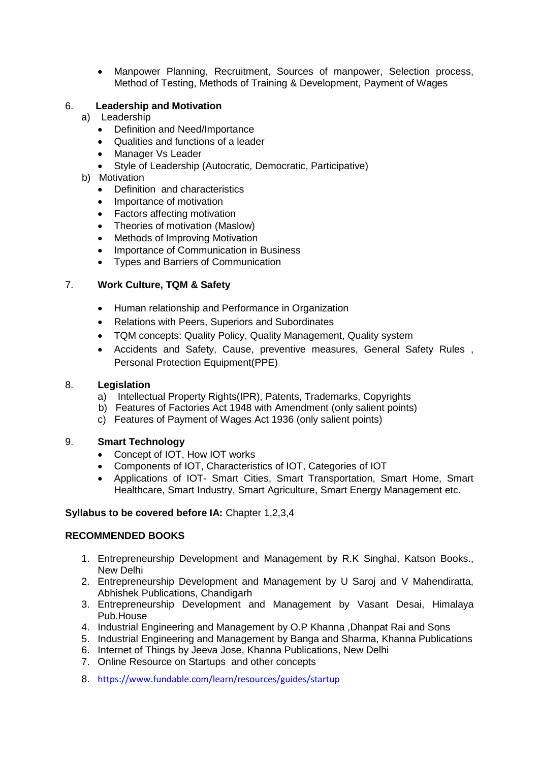Manpower Planning, Recruitment, Sources of manpower, Selection process, Method of Testing, Methods of Training & Development, Payment of Wages

#### 6. **Leadership and Motivation**

- a) Leadership
	- Definition and Need/Importance
	- Qualities and functions of a leader
	- Manager Vs Leader
	- Style of Leadership (Autocratic, Democratic, Participative)
- b) Motivation
	- Definition and characteristics
	- Importance of motivation
	- Factors affecting motivation
	- Theories of motivation (Maslow)
	- Methods of Improving Motivation
	- Importance of Communication in Business
	- Types and Barriers of Communication

#### 7. **Work Culture, TQM & Safety**

- Human relationship and Performance in Organization
- Relations with Peers, Superiors and Subordinates
- TQM concepts: Quality Policy, Quality Management, Quality system
- Accidents and Safety, Cause, preventive measures, General Safety Rules , Personal Protection Equipment(PPE)

#### 8. **Legislation**

- a) Intellectual Property Rights(IPR), Patents, Trademarks, Copyrights
- b) Features of Factories Act 1948 with Amendment (only salient points)
- c) Features of Payment of Wages Act 1936 (only salient points)

#### 9. **Smart Technology**

- Concept of IOT, How IOT works
- Components of IOT, Characteristics of IOT, Categories of IOT
- Applications of IOT- Smart Cities, Smart Transportation, Smart Home, Smart Healthcare, Smart Industry, Smart Agriculture, Smart Energy Management etc.

#### **Syllabus to be covered before IA:** Chapter 1,2,3,4

#### **RECOMMENDED BOOKS**

- 1. Entrepreneurship Development and Management by R.K Singhal, Katson Books., New Delhi
- 2. Entrepreneurship Development and Management by U Saroj and V Mahendiratta, Abhishek Publications, Chandigarh
- 3. Entrepreneurship Development and Management by Vasant Desai, Himalaya Pub.House
- 4. Industrial Engineering and Management by O.P Khanna ,Dhanpat Rai and Sons
- 5. Industrial Engineering and Management by Banga and Sharma, Khanna Publications
- 6. Internet of Things by Jeeva Jose, Khanna Publications, New Delhi
- 7. Online Resource on Startups and other concepts
- 8. <https://www.fundable.com/learn/resources/guides/startup>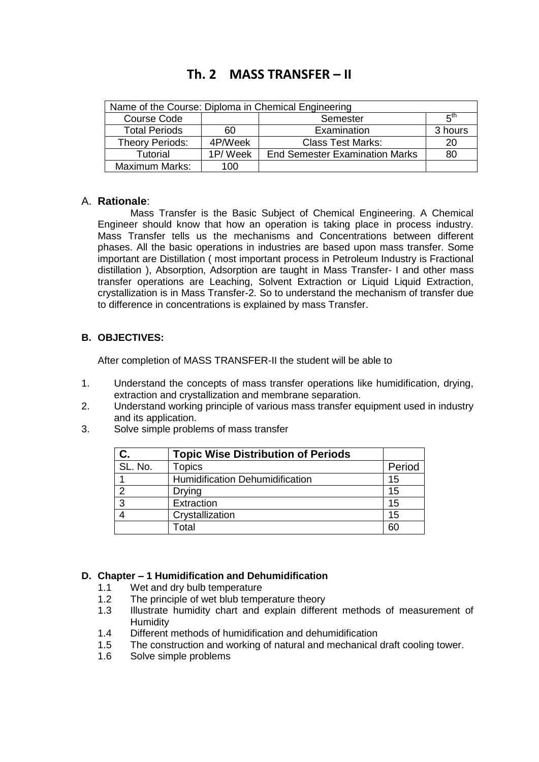### **Th. 2 MASS TRANSFER – II**

| Name of the Course: Diploma in Chemical Engineering |         |                                       |         |  |
|-----------------------------------------------------|---------|---------------------------------------|---------|--|
| <b>Course Code</b><br>Semester                      |         |                                       |         |  |
| <b>Total Periods</b>                                | 60      | Examination                           | 3 hours |  |
| Theory Periods:                                     | 4P/Week | <b>Class Test Marks:</b>              | 20      |  |
| Tutorial                                            | 1P/Week | <b>End Semester Examination Marks</b> | 80      |  |
| Maximum Marks:                                      | 100     |                                       |         |  |

#### A. **Rationale**:

Mass Transfer is the Basic Subject of Chemical Engineering. A Chemical Engineer should know that how an operation is taking place in process industry. Mass Transfer tells us the mechanisms and Concentrations between different phases. All the basic operations in industries are based upon mass transfer. Some important are Distillation ( most important process in Petroleum Industry is Fractional distillation ), Absorption, Adsorption are taught in Mass Transfer- I and other mass transfer operations are Leaching, Solvent Extraction or Liquid Liquid Extraction, crystallization is in Mass Transfer-2. So to understand the mechanism of transfer due to difference in concentrations is explained by mass Transfer.

#### **B. OBJECTIVES:**

After completion of MASS TRANSFER-II the student will be able to

- 1. Understand the concepts of mass transfer operations like humidification, drying, extraction and crystallization and membrane separation.
- 2. Understand working principle of various mass transfer equipment used in industry and its application.
- 3. Solve simple problems of mass transfer

|         | <b>Topic Wise Distribution of Periods</b> |        |
|---------|-------------------------------------------|--------|
| SL. No. | <b>Topics</b>                             | Period |
|         | <b>Humidification Dehumidification</b>    | 15     |
| າ       | <b>Drying</b>                             | 15     |
| 3       | Extraction                                | 15     |
|         | Crystallization                           | 15     |
|         | Total                                     | 60     |

#### **D. Chapter – 1 Humidification and Dehumidification**

- 1.1 Wet and dry bulb temperature
- 1.2 The principle of wet blub temperature theory
- 1.3 Illustrate humidity chart and explain different methods of measurement of **Humidity**
- 1.4 Different methods of humidification and dehumidification
- 1.5 The construction and working of natural and mechanical draft cooling tower.
- 1.6 Solve simple problems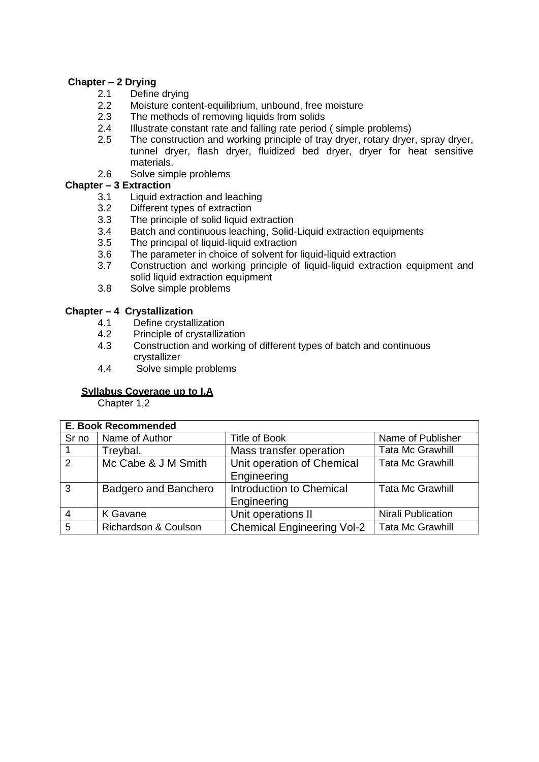#### **Chapter – 2 Drying**

- 2.1 Define drying<br>2.2 Moisture conte
- 2.2 Moisture content-equilibrium, unbound, free moisture<br>2.3 The methods of removing liquids from solids
- The methods of removing liquids from solids
- 2.4 Illustrate constant rate and falling rate period ( simple problems)
- 2.5 The construction and working principle of tray dryer, rotary dryer, spray dryer, tunnel dryer, flash dryer, fluidized bed dryer, dryer for heat sensitive materials.
- 2.6 Solve simple problems

#### **Chapter – 3 Extraction**

- 3.1 Liquid extraction and leaching
- 3.2 Different types of extraction
- 3.3 The principle of solid liquid extraction
- 3.4 Batch and continuous leaching, Solid-Liquid extraction equipments
- 3.5 The principal of liquid-liquid extraction
- 3.6 The parameter in choice of solvent for liquid-liquid extraction
- 3.7 Construction and working principle of liquid-liquid extraction equipment and solid liquid extraction equipment
- 3.8 Solve simple problems

#### **Chapter – 4 Crystallization**

- 4.1 Define crystallization
- 4.2 Principle of crystallization
- 4.3 Construction and working of different types of batch and continuous crystallizer
- 4.4 Solve simple problems

#### **Syllabus Coverage up to I.A**

Chapter 1,2

|               | <b>E. Book Recommended</b>  |                                   |                           |  |  |
|---------------|-----------------------------|-----------------------------------|---------------------------|--|--|
| Sr no         | Name of Author              | <b>Title of Book</b>              | Name of Publisher         |  |  |
|               | Treybal.                    | Mass transfer operation           | <b>Tata Mc Grawhill</b>   |  |  |
| $\mathcal{P}$ | Mc Cabe & J M Smith         | Unit operation of Chemical        | <b>Tata Mc Grawhill</b>   |  |  |
|               |                             | Engineering                       |                           |  |  |
| 3             | <b>Badgero and Banchero</b> | Introduction to Chemical          | <b>Tata Mc Grawhill</b>   |  |  |
|               |                             | Engineering                       |                           |  |  |
|               | K Gavane                    | Unit operations II                | <b>Nirali Publication</b> |  |  |
| 5             | Richardson & Coulson        | <b>Chemical Engineering Vol-2</b> | <b>Tata Mc Grawhill</b>   |  |  |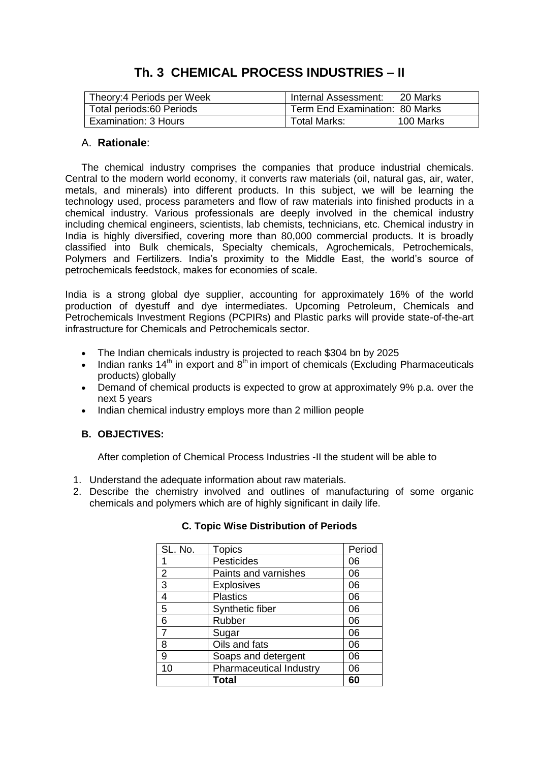### **Th. 3 CHEMICAL PROCESS INDUSTRIES – II**

| Theory: 4 Periods per Week            | Internal Assessment:           | 20 Marks  |
|---------------------------------------|--------------------------------|-----------|
| <sup>1</sup> Total periods:60 Periods | Term End Examination: 80 Marks |           |
| Examination: 3 Hours                  | Total Marks:                   | 100 Marks |

#### A. **Rationale**:

The chemical industry comprises the [companies](https://en.wikipedia.org/wiki/Company) that produce industrial [chemicals.](https://en.wikipedia.org/wiki/Chemical) Central to the modern [world economy,](https://en.wikipedia.org/wiki/World_economy) it converts [raw materials](https://en.wikipedia.org/wiki/Raw_materials) [\(oil,](https://en.wikipedia.org/wiki/Oil) [natural gas,](https://en.wikipedia.org/wiki/Natural_gas) [air,](https://en.wikipedia.org/wiki/Air) [water,](https://en.wikipedia.org/wiki/Water) [metals,](https://en.wikipedia.org/wiki/Metals) and [minerals\)](https://en.wikipedia.org/wiki/Minerals) into different [products.](https://en.wikipedia.org/wiki/Product_(business)) In this subject, we will be learning the technology used, process parameters and flow of raw materials into finished products in a chemical industry. Various professionals are deeply involved in the chemical industry including chemical engineers, scientists, lab chemists, technicians, etc. Chemical industry in India is highly diversified, covering more than 80,000 commercial products. It is broadly classified into Bulk chemicals, Specialty chemicals, Agrochemicals, Petrochemicals, Polymers and Fertilizers. India's proximity to the Middle East, the world's source of petrochemicals feedstock, makes for economies of scale.

India is a strong global dye supplier, accounting for approximately 16% of the world production of dyestuff and dye intermediates. Upcoming Petroleum, Chemicals and Petrochemicals Investment Regions (PCPIRs) and Plastic parks will provide state-of-the-art infrastructure for Chemicals and Petrochemicals sector.

- The Indian chemicals industry is projected to reach \$304 bn by 2025
- Indian ranks  $14<sup>th</sup>$  in export and  $8<sup>th</sup>$  in import of chemicals (Excluding Pharmaceuticals products) globally
- Demand of chemical products is expected to grow at approximately 9% p.a. over the next 5 years
- Indian chemical industry employs more than 2 million people

#### **B. OBJECTIVES:**

After completion of Chemical Process Industries -II the student will be able to

- 1. Understand the adequate information about raw materials.
- 2. Describe the chemistry involved and outlines of manufacturing of some organic chemicals and polymers which are of highly significant in daily life.

| SL. No.        | <b>Topics</b>                  | Period |
|----------------|--------------------------------|--------|
|                | Pesticides                     | 06     |
| $\overline{2}$ | Paints and varnishes           | 06     |
| 3              | <b>Explosives</b>              | 06     |
| $\overline{4}$ | <b>Plastics</b>                | 06     |
| $\overline{5}$ | Synthetic fiber                | 06     |
| 6              | Rubber                         | 06     |
| $\overline{7}$ | Sugar                          | 06     |
| 8              | Oils and fats                  | 06     |
| 9              | Soaps and detergent            | 06     |
| 10             | <b>Pharmaceutical Industry</b> | 06     |
|                | <b>Total</b>                   | 60     |

#### **C. Topic Wise Distribution of Periods**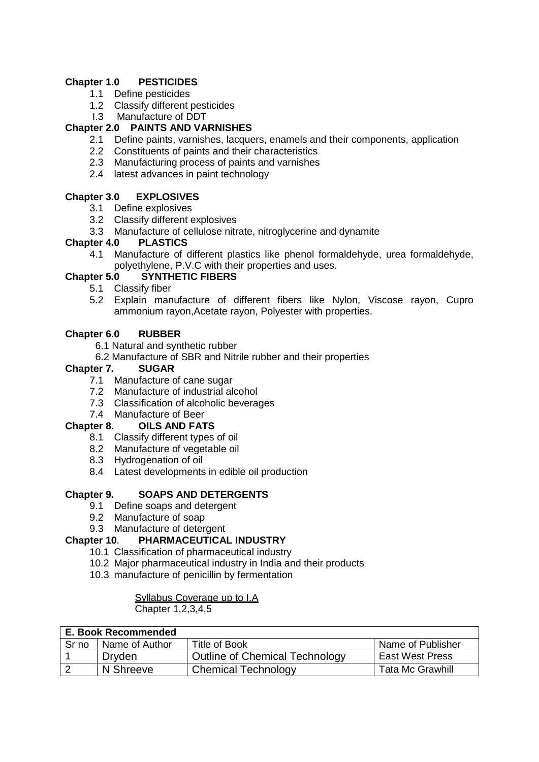#### **Chapter 1.0 PESTICIDES**

- 1.1 Define pesticides
- 1.2 Classify different pesticides
- I.3 Manufacture of DDT

#### **Chapter 2.0 PAINTS AND VARNISHES**

- 2.1 Define paints, varnishes, lacquers, enamels and their components, application
- 2.2 Constituents of paints and their characteristics
- 2.3 Manufacturing process of paints and varnishes
- 2.4 latest advances in paint technology

#### **Chapter 3.0 EXPLOSIVES**

- 3.1 Define explosives
- 3.2 Classify different explosives
- 3.3 Manufacture of cellulose nitrate, nitroglycerine and dynamite

#### **Chapter 4.0 PLASTICS**

4.1 Manufacture of different plastics like phenol formaldehyde, urea formaldehyde, polyethylene, P.V.C with their properties and uses.

#### **Chapter 5.0 SYNTHETIC FIBERS**

- 5.1 Classify fiber
- 5.2 Explain manufacture of different fibers like Nylon, Viscose rayon, Cupro ammonium rayon,Acetate rayon, Polyester with properties.

#### **Chapter 6.0 RUBBER**

- 6.1 Natural and synthetic rubber
- 6.2 Manufacture of SBR and Nitrile rubber and their properties

#### **Chapter 7. SUGAR**

- 7.1 Manufacture of cane sugar
- 7.2 Manufacture of industrial alcohol
- 7.3 Classification of alcoholic beverages
- 7.4 Manufacture of Beer

#### **Chapter 8. OILS AND FATS**

- 8.1 Classify different types of oil
- 8.2 Manufacture of vegetable oil
- 8.3 Hydrogenation of oil
- 8.4 Latest developments in edible oil production

#### **Chapter 9. SOAPS AND DETERGENTS**

- 9.1 Define soaps and detergent
- 9.2 Manufacture of soap
- 9.3 Manufacture of detergent

#### **Chapter 10**. **PHARMACEUTICAL INDUSTRY**

- 10.1 Classification of pharmaceutical industry
- 10.2 Major pharmaceutical industry in India and their products
- 10.3 manufacture of penicillin by fermentation

#### Syllabus Coverage up to I.A

Chapter 1,2,3,4,5

| E. Book Recommended |                  |                                       |                         |  |  |
|---------------------|------------------|---------------------------------------|-------------------------|--|--|
| Sr no               | l Name of Author | <b>Title of Book</b>                  | Name of Publisher       |  |  |
|                     | Dryden           | <b>Outline of Chemical Technology</b> | <b>East West Press</b>  |  |  |
|                     | N Shreeve        | <b>Chemical Technology</b>            | <b>Tata Mc Grawhill</b> |  |  |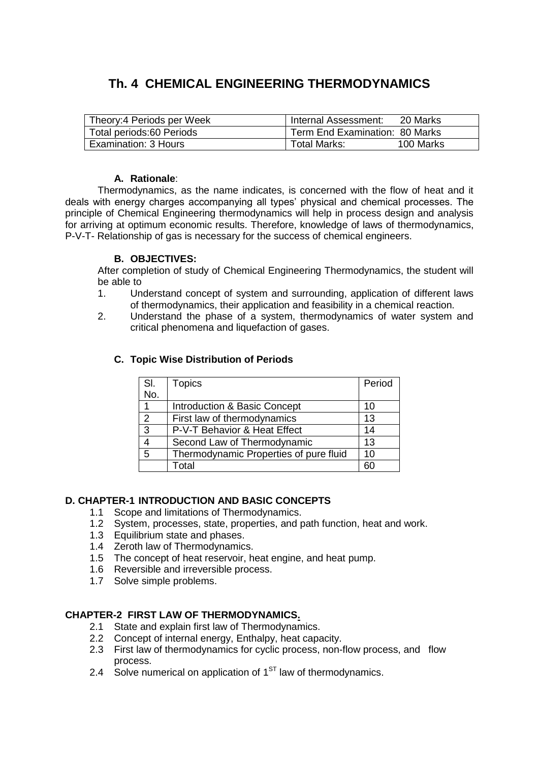### **Th. 4 CHEMICAL ENGINEERING THERMODYNAMICS**

| Theory:4 Periods per Week | Internal Assessment:           | -20 Marks |
|---------------------------|--------------------------------|-----------|
| Total periods:60 Periods  | Term End Examination: 80 Marks |           |
| Examination: 3 Hours      | Total Marks:                   | 100 Marks |

#### **A. Rationale**:

Thermodynamics, as the name indicates, is concerned with the flow of heat and it deals with energy charges accompanying all types' physical and chemical processes. The principle of Chemical Engineering thermodynamics will help in process design and analysis for arriving at optimum economic results. Therefore, knowledge of laws of thermodynamics, P-V-T- Relationship of gas is necessary for the success of chemical engineers.

#### **B. OBJECTIVES:**

After completion of study of Chemical Engineering Thermodynamics, the student will be able to

- 1. Understand concept of system and surrounding, application of different laws of thermodynamics, their application and feasibility in a chemical reaction.
- 2. Understand the phase of a system, thermodynamics of water system and critical phenomena and liquefaction of gases.

| SI.            | <b>Topics</b>                          | Period |
|----------------|----------------------------------------|--------|
| No.            |                                        |        |
| 1              | Introduction & Basic Concept           | 10     |
| $\overline{2}$ | First law of thermodynamics            | 13     |
| 3              | P-V-T Behavior & Heat Effect           | 14     |
| 4              | Second Law of Thermodynamic            | 13     |
| 5              | Thermodynamic Properties of pure fluid | 10     |
|                | Total                                  | 60     |

#### **C. Topic Wise Distribution of Periods**

#### **D. CHAPTER-1 INTRODUCTION AND BASIC CONCEPTS**

- 1.1 Scope and limitations of Thermodynamics.
- 1.2 System, processes, state, properties, and path function, heat and work.
- 1.3 Equilibrium state and phases.
- 1.4 Zeroth law of Thermodynamics.
- 1.5 The concept of heat reservoir, heat engine, and heat pump.
- 1.6 Reversible and irreversible process.
- 1.7 Solve simple problems.

#### **CHAPTER-2 FIRST LAW OF THERMODYNAMICS.**

- 2.1 State and explain first law of Thermodynamics.
- 2.2 Concept of internal energy, Enthalpy, heat capacity.
- 2.3 First law of thermodynamics for cyclic process, non-flow process, and flow process.
- 2.4 Solve numerical on application of  $1<sup>ST</sup>$  law of thermodynamics.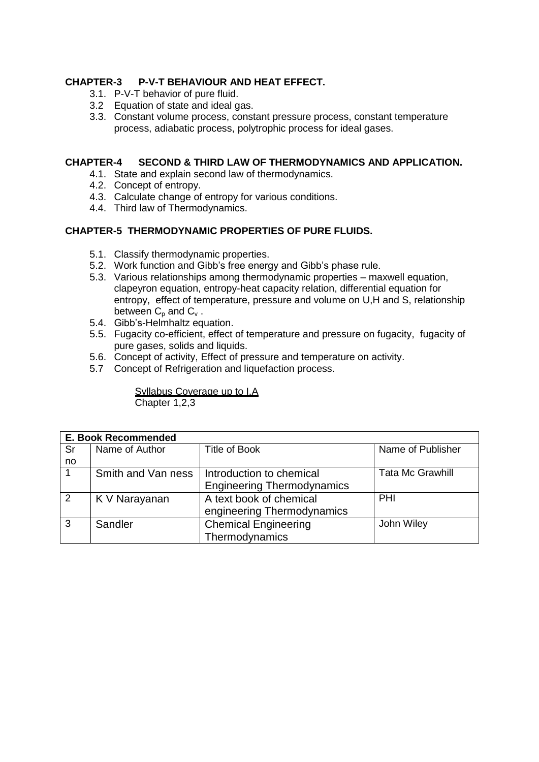#### **CHAPTER-3 P-V-T BEHAVIOUR AND HEAT EFFECT.**

- 3.1. P-V-T behavior of pure fluid.
- 3.2 Equation of state and ideal gas.
- 3.3. Constant volume process, constant pressure process, constant temperature process, adiabatic process, polytrophic process for ideal gases.

#### **CHAPTER-4 SECOND & THIRD LAW OF THERMODYNAMICS AND APPLICATION.**

- 4.1. State and explain second law of thermodynamics.
- 4.2. Concept of entropy.
- 4.3. Calculate change of entropy for various conditions.
- 4.4. Third law of Thermodynamics.

#### **CHAPTER-5 THERMODYNAMIC PROPERTIES OF PURE FLUIDS.**

- 5.1. Classify thermodynamic properties.
- 5.2. Work function and Gibb's free energy and Gibb's phase rule.
- 5.3. Various relationships among thermodynamic properties maxwell equation, clapeyron equation, entropy-heat capacity relation, differential equation for entropy, effect of temperature, pressure and volume on U,H and S, relationship between  $C_p$  and  $C_v$ .
- 5.4. Gibb's-Helmhaltz equation.
- 5.5. Fugacity co-efficient, effect of temperature and pressure on fugacity, fugacity of pure gases, solids and liquids.
- 5.6. Concept of activity, Effect of pressure and temperature on activity.
- 5.7 Concept of Refrigeration and liquefaction process.

Syllabus Coverage up to I.A Chapter 1,2,3

|    | <b>E. Book Recommended</b> |                                   |                         |  |  |
|----|----------------------------|-----------------------------------|-------------------------|--|--|
| Sr | Name of Author             | Title of Book                     | Name of Publisher       |  |  |
| no |                            |                                   |                         |  |  |
|    | Smith and Van ness         | Introduction to chemical          | <b>Tata Mc Grawhill</b> |  |  |
|    |                            | <b>Engineering Thermodynamics</b> |                         |  |  |
| 2  | K V Narayanan              | A text book of chemical           | PHI                     |  |  |
|    |                            | engineering Thermodynamics        |                         |  |  |
| 3  | Sandler                    | <b>Chemical Engineering</b>       | John Wiley              |  |  |
|    |                            | Thermodynamics                    |                         |  |  |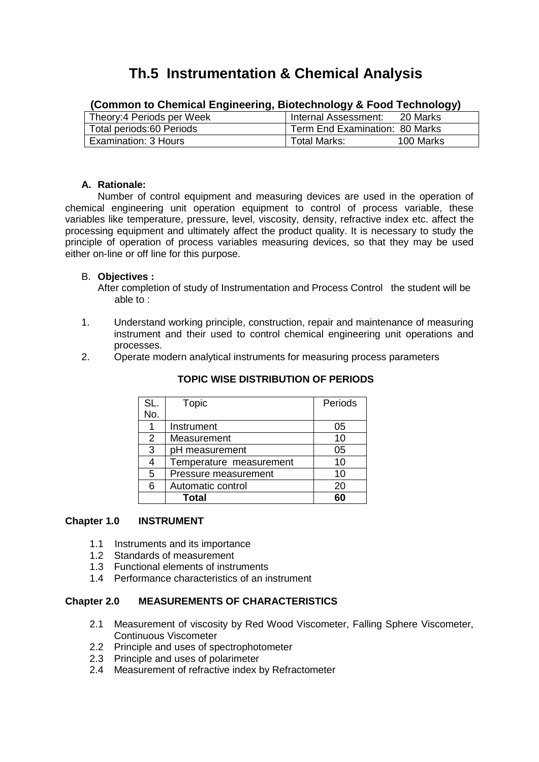## **Th.5 Instrumentation & Chemical Analysis**

| Theory: 4 Periods per Week | Internal Assessment:           | 20 Marks  |  |
|----------------------------|--------------------------------|-----------|--|
| Total periods:60 Periods   | Term End Examination: 80 Marks |           |  |
| Examination: 3 Hours       | Total Marks:                   | 100 Marks |  |

#### **(Common to Chemical Engineering, Biotechnology & Food Technology)**

#### **A. Rationale:**

Number of control equipment and measuring devices are used in the operation of chemical engineering unit operation equipment to control of process variable, these variables like temperature, pressure, level, viscosity, density, refractive index etc. affect the processing equipment and ultimately affect the product quality. It is necessary to study the principle of operation of process variables measuring devices, so that they may be used either on-line or off line for this purpose.

#### B. **Objectives :**

After completion of study of Instrumentation and Process Control the student will be able to :

- 1. Understand working principle, construction, repair and maintenance of measuring instrument and their used to control chemical engineering unit operations and processes.
- 2. Operate modern analytical instruments for measuring process parameters

| SL.            | Topic                   | Periods |
|----------------|-------------------------|---------|
| No.            |                         |         |
| 1              | Instrument              | 05      |
| $\overline{2}$ | Measurement             | 10      |
| 3              | pH measurement          | 05      |
| 4              | Temperature measurement | 10      |
| 5              | Pressure measurement    | 10      |
| 6              | Automatic control       | 20      |
|                | <b>Total</b>            | 60      |

#### **TOPIC WISE DISTRIBUTION OF PERIODS**

#### **Chapter 1.0 INSTRUMENT**

- 1.1 Instruments and its importance
- 1.2 Standards of measurement
- 1.3 Functional elements of instruments
- 1.4 Performance characteristics of an instrument

#### **Chapter 2.0 MEASUREMENTS OF CHARACTERISTICS**

- 2.1 Measurement of viscosity by Red Wood Viscometer, Falling Sphere Viscometer, Continuous Viscometer
- 2.2 Principle and uses of spectrophotometer
- 2.3 Principle and uses of polarimeter
- 2.4 Measurement of refractive index by Refractometer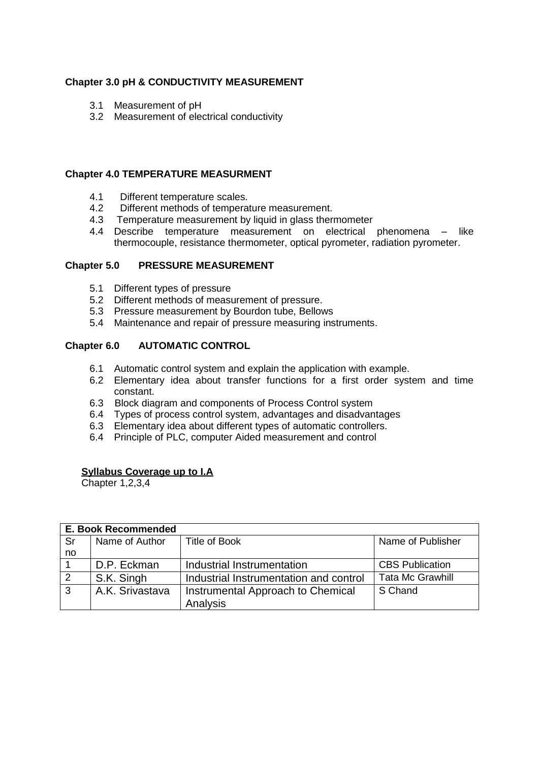#### **Chapter 3.0 pH & CONDUCTIVITY MEASUREMENT**

- 3.1 Measurement of pH
- 3.2 Measurement of electrical conductivity

#### **Chapter 4.0 TEMPERATURE MEASURMENT**

- 4.1 Different temperature scales.
- 4.2 Different methods of temperature measurement.
- 4.3 Temperature measurement by liquid in glass thermometer
- 4.4 Describe temperature measurement on electrical phenomena like thermocouple, resistance thermometer, optical pyrometer, radiation pyrometer.

#### **Chapter 5.0 PRESSURE MEASUREMENT**

- 5.1 Different types of pressure
- 5.2 Different methods of measurement of pressure.
- 5.3 Pressure measurement by Bourdon tube, Bellows
- 5.4 Maintenance and repair of pressure measuring instruments.

#### **Chapter 6.0 AUTOMATIC CONTROL**

- 6.1 Automatic control system and explain the application with example.
- 6.2 Elementary idea about transfer functions for a first order system and time constant.
- 6.3 Block diagram and components of Process Control system
- 6.4 Types of process control system, advantages and disadvantages
- 6.3 Elementary idea about different types of automatic controllers.
- 6.4 Principle of PLC, computer Aided measurement and control

#### **Syllabus Coverage up to I.A**

Chapter 1,2,3,4

|    | E. Book Recommended |                                        |                         |  |
|----|---------------------|----------------------------------------|-------------------------|--|
| Sr | Name of Author      | <b>Title of Book</b>                   | Name of Publisher       |  |
| no |                     |                                        |                         |  |
|    | D.P. Eckman         | Industrial Instrumentation             | <b>CBS Publication</b>  |  |
| 2  | S.K. Singh          | Industrial Instrumentation and control | <b>Tata Mc Grawhill</b> |  |
| 3  | A.K. Srivastava     | Instrumental Approach to Chemical      | S Chand                 |  |
|    |                     | Analysis                               |                         |  |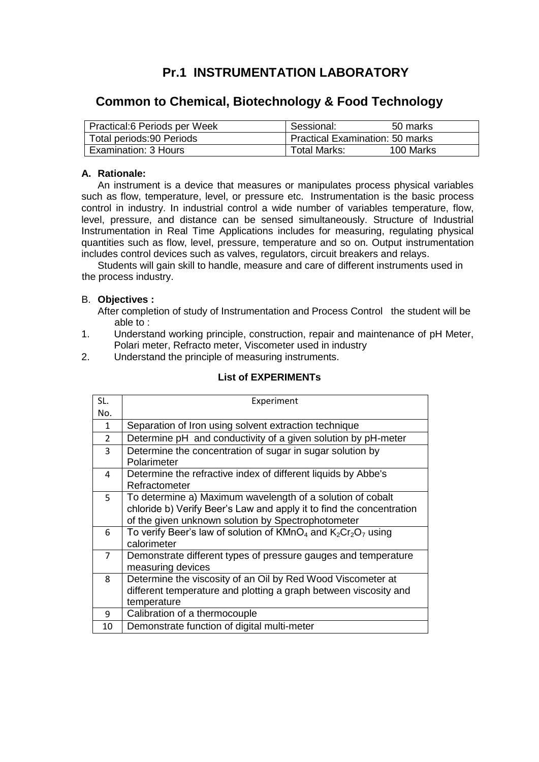### **Pr.1 INSTRUMENTATION LABORATORY**

### **Common to Chemical, Biotechnology & Food Technology**

| Practical:6 Periods per Week | Sessional:                             | 50 marks  |
|------------------------------|----------------------------------------|-----------|
| Total periods:90 Periods     | <b>Practical Examination: 50 marks</b> |           |
| Examination: 3 Hours         | Total Marks:                           | 100 Marks |

#### **A. Rationale:**

An instrument is a device that measures or manipulates process physical variables such as flow, temperature, level, or pressure etc. Instrumentation is the basic process control in industry. In industrial control a wide number of variables temperature, flow, level, pressure, and distance can be sensed simultaneously. Structure of Industrial Instrumentation in Real Time Applications includes for measuring, regulating physical quantities such as flow, level, pressure, temperature and so on. Output instrumentation includes control devices such as valves, regulators, circuit breakers and relays.

Students will gain skill to handle, measure and care of different instruments used in the process industry.

#### B. **Objectives :**

After completion of study of Instrumentation and Process Control the student will be able to :

- 1. Understand working principle, construction, repair and maintenance of pH Meter, Polari meter, Refracto meter, Viscometer used in industry
- 2. Understand the principle of measuring instruments.

| SL.            | Experiment                                                                                                                                                                               |
|----------------|------------------------------------------------------------------------------------------------------------------------------------------------------------------------------------------|
| No.            |                                                                                                                                                                                          |
| $\mathbf{1}$   | Separation of Iron using solvent extraction technique                                                                                                                                    |
| $\overline{2}$ | Determine pH and conductivity of a given solution by pH-meter                                                                                                                            |
| 3              | Determine the concentration of sugar in sugar solution by<br>Polarimeter                                                                                                                 |
| 4              | Determine the refractive index of different liquids by Abbe's<br>Refractometer                                                                                                           |
| 5              | To determine a) Maximum wavelength of a solution of cobalt<br>chloride b) Verify Beer's Law and apply it to find the concentration<br>of the given unknown solution by Spectrophotometer |
| 6              | To verify Beer's law of solution of $KMnO_4$ and $K_2Cr_2O_7$ using<br>calorimeter                                                                                                       |
| $\overline{7}$ | Demonstrate different types of pressure gauges and temperature<br>measuring devices                                                                                                      |
| 8              | Determine the viscosity of an Oil by Red Wood Viscometer at<br>different temperature and plotting a graph between viscosity and<br>temperature                                           |
| 9              | Calibration of a thermocouple                                                                                                                                                            |
| 10             | Demonstrate function of digital multi-meter                                                                                                                                              |

#### **List of EXPERIMENTs**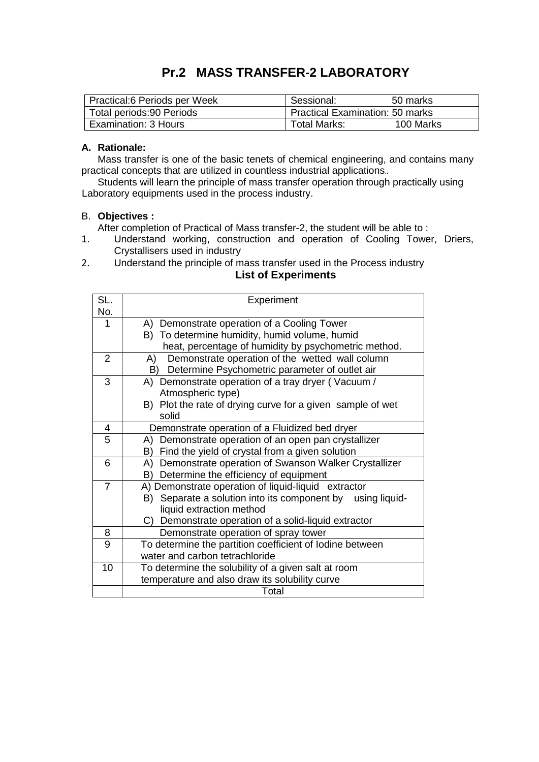### **Pr.2 MASS TRANSFER-2 LABORATORY**

| Practical:6 Periods per Week | Sessional:                             | 50 marks  |
|------------------------------|----------------------------------------|-----------|
| Total periods:90 Periods     | <b>Practical Examination: 50 marks</b> |           |
| Examination: 3 Hours         | Total Marks:                           | 100 Marks |

#### **A. Rationale:**

Mass transfer is one of the basic tenets of chemical engineering, and contains many practical concepts that are utilized in countless industrial applications..

Students will learn the principle of mass transfer operation through practically using Laboratory equipments used in the process industry.

#### B. **Objectives :**

After completion of Practical of Mass transfer-2, the student will be able to :

- 1. Understand working, construction and operation of Cooling Tower, Driers, Crystallisers used in industry
- 2. Understand the principle of mass transfer used in the Process industry **List of Experiments**

| SL.                     | Experiment                                                    |
|-------------------------|---------------------------------------------------------------|
| No.                     |                                                               |
| 1                       | A) Demonstrate operation of a Cooling Tower                   |
|                         | B) To determine humidity, humid volume, humid                 |
|                         | heat, percentage of humidity by psychometric method.          |
| $\overline{2}$          | Demonstrate operation of the wetted wall column<br>A)         |
|                         | Determine Psychometric parameter of outlet air<br>B)          |
| 3                       | A) Demonstrate operation of a tray dryer (Vacuum /            |
|                         | Atmospheric type)                                             |
|                         | B) Plot the rate of drying curve for a given sample of wet    |
|                         | solid                                                         |
| $\overline{\mathbf{4}}$ | Demonstrate operation of a Fluidized bed dryer                |
| 5                       | Demonstrate operation of an open pan crystallizer<br>A)       |
|                         | Find the yield of crystal from a given solution<br>B)         |
| 6                       | A) Demonstrate operation of Swanson Walker Crystallizer       |
|                         | Determine the efficiency of equipment<br>B)                   |
| $\overline{7}$          | A) Demonstrate operation of liquid-liquid extractor           |
|                         | Separate a solution into its component by using liquid-<br>B) |
|                         | liquid extraction method                                      |
|                         | C) Demonstrate operation of a solid-liquid extractor          |
| 8                       | Demonstrate operation of spray tower                          |
| 9                       | To determine the partition coefficient of lodine between      |
|                         | water and carbon tetrachloride                                |
| 10                      | To determine the solubility of a given salt at room           |
|                         | temperature and also draw its solubility curve                |
|                         | Total                                                         |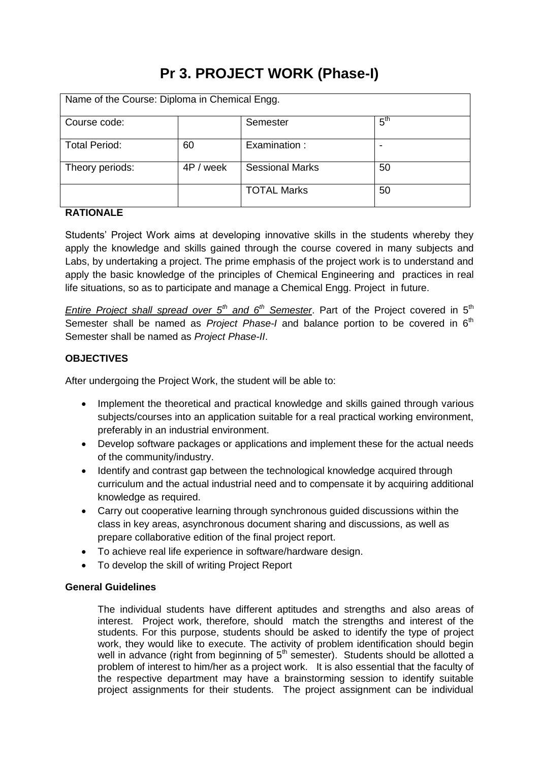# **Pr 3. PROJECT WORK (Phase-I)**

| Name of the Course: Diploma in Chemical Engg. |           |                        |                 |
|-----------------------------------------------|-----------|------------------------|-----------------|
| Course code:                                  |           | Semester               | 5 <sup>th</sup> |
| <b>Total Period:</b>                          | 60        | Examination:           |                 |
| Theory periods:                               | 4P / week | <b>Sessional Marks</b> | 50              |
|                                               |           | <b>TOTAL Marks</b>     | 50              |

#### **RATIONALE**

Students' Project Work aims at developing innovative skills in the students whereby they apply the knowledge and skills gained through the course covered in many subjects and Labs, by undertaking a project. The prime emphasis of the project work is to understand and apply the basic knowledge of the principles of Chemical Engineering and practices in real life situations, so as to participate and manage a Chemical Engg. Project in future.

*Entire Project shall spread over 5<sup>th</sup> and 6<sup>th</sup> Semester. Part of the Project covered in 5<sup>th</sup>* Semester shall be named as *Project Phase-I* and balance portion to be covered in 6<sup>th</sup> Semester shall be named as *Project Phase-II*.

#### **OBJECTIVES**

After undergoing the Project Work, the student will be able to:

- Implement the theoretical and practical knowledge and skills gained through various subjects/courses into an application suitable for a real practical working environment, preferably in an industrial environment.
- Develop software packages or applications and implement these for the actual needs of the community/industry.
- Identify and contrast gap between the technological knowledge acquired through curriculum and the actual industrial need and to compensate it by acquiring additional knowledge as required.
- Carry out cooperative learning through synchronous guided discussions within the class in key areas, asynchronous document sharing and discussions, as well as prepare collaborative edition of the final project report.
- To achieve real life experience in software/hardware design.
- To develop the skill of writing Project Report

#### **General Guidelines**

The individual students have different aptitudes and strengths and also areas of interest. Project work, therefore, should match the strengths and interest of the students. For this purpose, students should be asked to identify the type of project work, they would like to execute. The activity of problem identification should begin well in advance (right from beginning of  $5<sup>th</sup>$  semester). Students should be allotted a problem of interest to him/her as a project work. It is also essential that the faculty of the respective department may have a brainstorming session to identify suitable project assignments for their students. The project assignment can be individual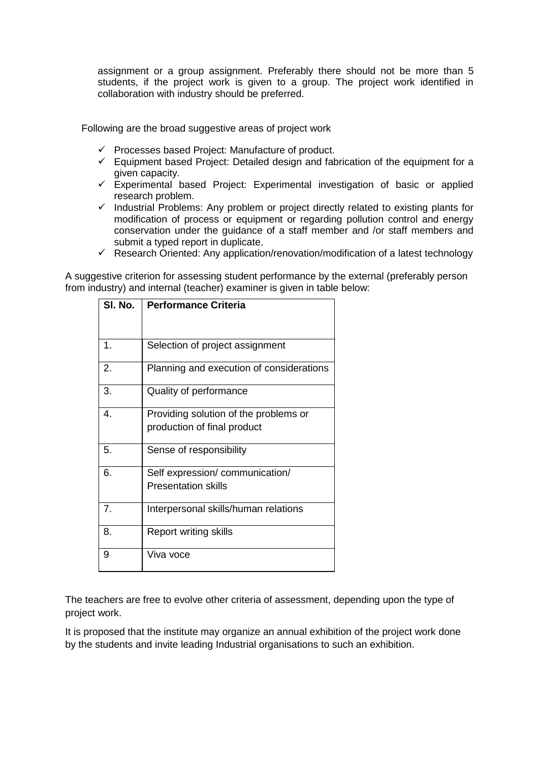assignment or a group assignment. Preferably there should not be more than 5 students, if the project work is given to a group. The project work identified in collaboration with industry should be preferred.

Following are the broad suggestive areas of project work

- $\checkmark$  Processes based Project: Manufacture of product.
- $\checkmark$  Equipment based Project: Detailed design and fabrication of the equipment for a given capacity.
- $\checkmark$  Experimental based Project: Experimental investigation of basic or applied research problem.
- $\checkmark$  Industrial Problems: Any problem or project directly related to existing plants for modification of process or equipment or regarding pollution control and energy conservation under the guidance of a staff member and /or staff members and submit a typed report in duplicate.
- $\checkmark$  Research Oriented: Any application/renovation/modification of a latest technology

A suggestive criterion for assessing student performance by the external (preferably person from industry) and internal (teacher) examiner is given in table below:

| SI. No. | <b>Performance Criteria</b>              |
|---------|------------------------------------------|
|         |                                          |
| 1.      | Selection of project assignment          |
| 2.      | Planning and execution of considerations |
| 3.      | Quality of performance                   |
| 4.      | Providing solution of the problems or    |
|         | production of final product              |
| 5.      | Sense of responsibility                  |
| 6.      | Self expression/communication/           |
|         | <b>Presentation skills</b>               |
| 7.      | Interpersonal skills/human relations     |
| 8.      | <b>Report writing skills</b>             |
| 9       | Viva voce                                |

The teachers are free to evolve other criteria of assessment, depending upon the type of project work.

It is proposed that the institute may organize an annual exhibition of the project work done by the students and invite leading Industrial organisations to such an exhibition.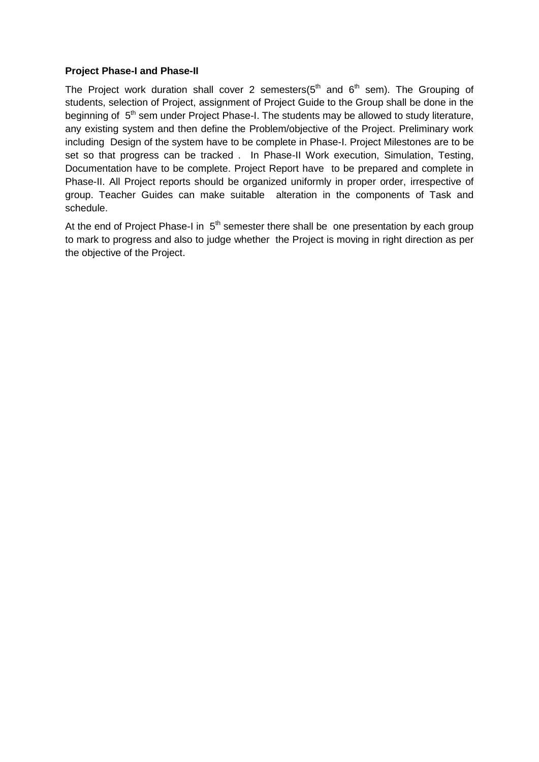#### **Project Phase-I and Phase-II**

The Project work duration shall cover 2 semesters( $5<sup>th</sup>$  and  $6<sup>th</sup>$  sem). The Grouping of students, selection of Project, assignment of Project Guide to the Group shall be done in the beginning of  $5<sup>th</sup>$  sem under Project Phase-I. The students may be allowed to study literature, any existing system and then define the Problem/objective of the Project. Preliminary work including Design of the system have to be complete in Phase-I. Project Milestones are to be set so that progress can be tracked . In Phase-II Work execution, Simulation, Testing, Documentation have to be complete. Project Report have to be prepared and complete in Phase-II. All Project reports should be organized uniformly in proper order, irrespective of group. Teacher Guides can make suitable alteration in the components of Task and schedule.

At the end of Project Phase-I in  $5<sup>th</sup>$  semester there shall be one presentation by each group to mark to progress and also to judge whether the Project is moving in right direction as per the objective of the Project.